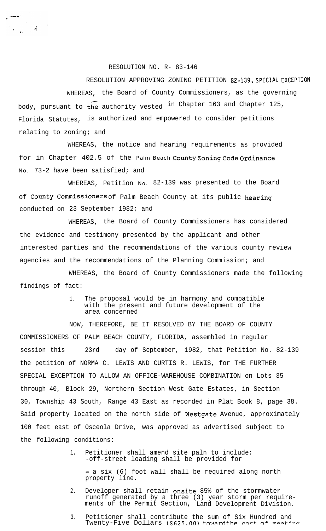## RESOLUTION NO. R- 83-146

 $\frac{1}{2}$ データー こぼし

> RESOLUTION APPROVING ZONING PETITION **82-139, SPECIAL EXCEPTION** WHEREAS, the Board of County Commissioners, as the governing body, pursuant to the authority vested in Chapter 163 and Chapter 125, Florida Statutes, is authorized and empowered to consider petitions relating to zoning; and

WHEREAS, the notice and hearing requirements as provided for in Chapter 402.5 of the Palm Beach County Zoning Code Ordinance No. 73-2 have been satisfied; and

WHEREAS, Petition No. 82-139 was presented to the Board of County Commissioners of Palm Beach County at its public hearing conducted on 23 September 1982; and

the evidence and testimony presented by the applicant and other WHEREAS, the Board of County Commissioners has considered interested parties and the recommendations of the various county review agencies and the recommendations of the Planning Commission; and

WHEREAS, the Board of County Commissioners made the following findings of fact:

> 1. The proposal would be in harmony and compatible with the present and future development of the area concerned

NOW, THEREFORE, BE IT RESOLVED BY THE BOARD OF COUNTY COMMISSIONERS OF PALM BEACH COUNTY, FLORIDA, assembled in regular session this 23rd day of September, 1982, that Petition No. 82-139 the petition of NORMA C. LEWIS AND CURTIS R. LEWIS, for THE FURTHER SPECIAL EXCEPTION TO ALLOW AN OFFICE-WAREHOUSE COMBINATION on Lots 35 through 40, Block 29, Northern Section West Gate Estates, in Section 30, Township 43 South, Range 43 East as recorded in Plat Book 8, page 38. Said property located on the north side of Westgate Avenue, approximately 100 feet east of Osceola Drive, was approved as advertised subject to the following conditions:

> 1. Petitioner shall amend site paln to include: -off-street loading shall be provided for

- a six (6) foot wall shall be required along north property line.

- 2. Developer shall retain onsite 85% of the stormwater runoff generated by a three (3) year storm per requirements of the Permit Section, Land Development Division.
- 3. Petitioner shall contribute the sum of Six Hundred and Twenty-Five Dollars (\$625.00) toward the cost of meeting